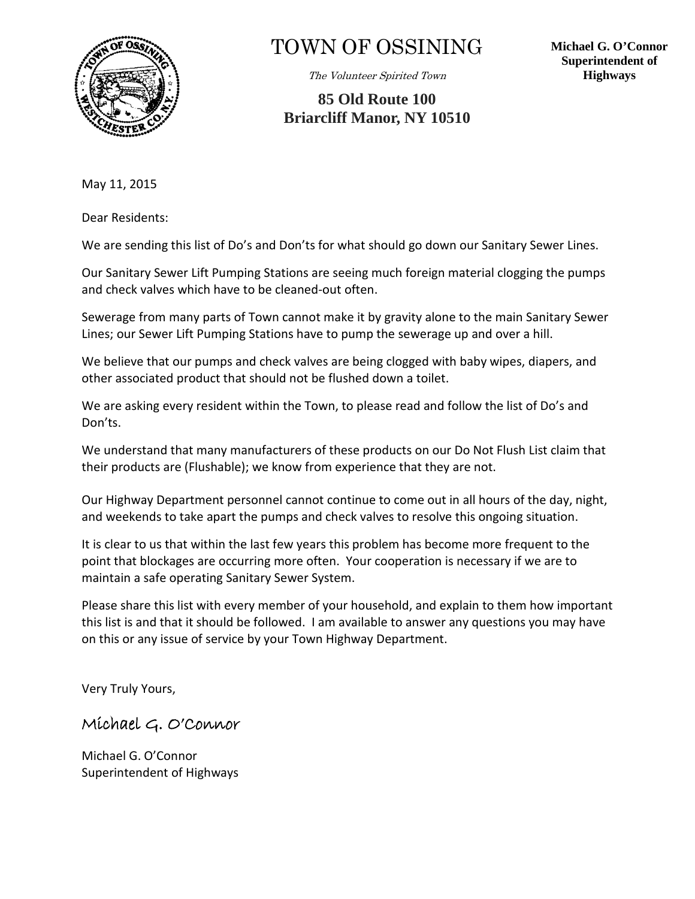

## TOWN OF OSSINING

The Volunteer Spirited Town

**85 Old Route 100 Briarcliff Manor, NY 10510** **Michael G. O'Connor Superintendent of Highways** 

May 11, 2015

Dear Residents:

We are sending this list of Do's and Don'ts for what should go down our Sanitary Sewer Lines.

Our Sanitary Sewer Lift Pumping Stations are seeing much foreign material clogging the pumps and check valves which have to be cleaned-out often.

Sewerage from many parts of Town cannot make it by gravity alone to the main Sanitary Sewer Lines; our Sewer Lift Pumping Stations have to pump the sewerage up and over a hill.

We believe that our pumps and check valves are being clogged with baby wipes, diapers, and other associated product that should not be flushed down a toilet.

We are asking every resident within the Town, to please read and follow the list of Do's and Don'ts.

We understand that many manufacturers of these products on our Do Not Flush List claim that their products are (Flushable); we know from experience that they are not.

Our Highway Department personnel cannot continue to come out in all hours of the day, night, and weekends to take apart the pumps and check valves to resolve this ongoing situation.

It is clear to us that within the last few years this problem has become more frequent to the point that blockages are occurring more often. Your cooperation is necessary if we are to maintain a safe operating Sanitary Sewer System.

Please share this list with every member of your household, and explain to them how important this list is and that it should be followed. I am available to answer any questions you may have on this or any issue of service by your Town Highway Department.

Very Truly Yours,

## Michael G. O'Connor

Michael G. O'Connor Superintendent of Highways